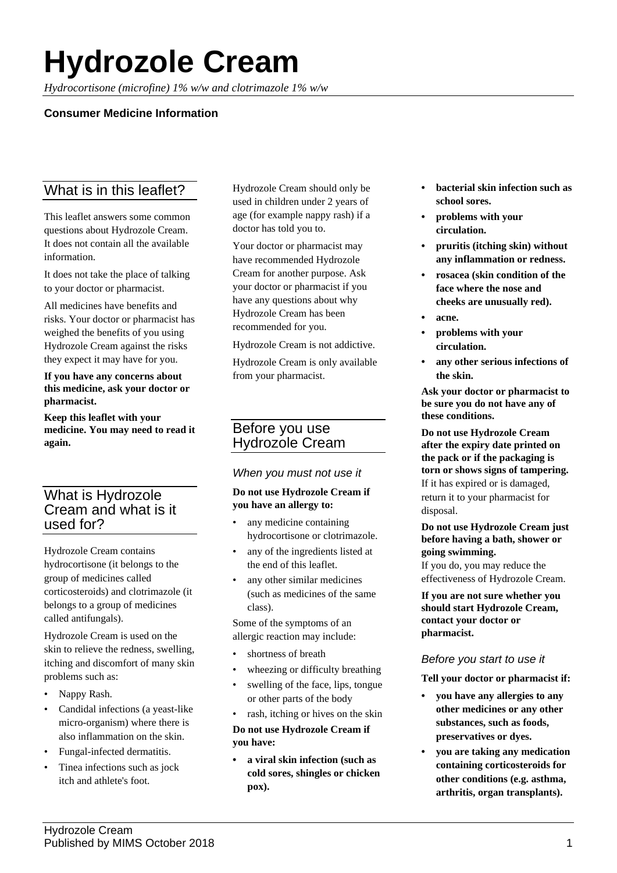# **Hydrozole Cream**

*Hydrocortisone (microfine) 1% w/w and clotrimazole 1% w/w*

## **Consumer Medicine Information**

# What is in this leaflet?

This leaflet answers some common questions about Hydrozole Cream. It does not contain all the available information.

It does not take the place of talking to your doctor or pharmacist.

All medicines have benefits and risks. Your doctor or pharmacist has weighed the benefits of you using Hydrozole Cream against the risks they expect it may have for you.

**If you have any concerns about this medicine, ask your doctor or pharmacist.**

**Keep this leaflet with your medicine. You may need to read it again.**

# What is Hydrozole Cream and what is it used for?

Hydrozole Cream contains hydrocortisone (it belongs to the group of medicines called corticosteroids) and clotrimazole (it belongs to a group of medicines called antifungals).

Hydrozole Cream is used on the skin to relieve the redness, swelling, itching and discomfort of many skin problems such as:

- Nappy Rash.
- Candidal infections (a yeast-like micro-organism) where there is also inflammation on the skin.
- Fungal-infected dermatitis.
- Tinea infections such as jock itch and athlete's foot.

Hydrozole Cream should only be used in children under 2 years of age (for example nappy rash) if a doctor has told you to.

Your doctor or pharmacist may have recommended Hydrozole Cream for another purpose. Ask your doctor or pharmacist if you have any questions about why Hydrozole Cream has been recommended for you.

Hydrozole Cream is not addictive.

Hydrozole Cream is only available from your pharmacist.

## Before you use Hydrozole Cream

## *When you must not use it*

#### **Do not use Hydrozole Cream if you have an allergy to:**

- any medicine containing hydrocortisone or clotrimazole.
- any of the ingredients listed at the end of this leaflet.
- any other similar medicines (such as medicines of the same class).

Some of the symptoms of an allergic reaction may include:

- shortness of breath
- wheezing or difficulty breathing
- swelling of the face, lips, tongue or other parts of the body
- rash, itching or hives on the skin

## **Do not use Hydrozole Cream if you have:**

**• a viral skin infection (such as cold sores, shingles or chicken pox).**

- **• bacterial skin infection such as school sores.**
- **• problems with your circulation.**
- **• pruritis (itching skin) without any inflammation or redness.**
- **• rosacea (skin condition of the face where the nose and cheeks are unusually red).**
- **• acne.**
- **• problems with your circulation.**
- **• any other serious infections of the skin.**

**Ask your doctor or pharmacist to be sure you do not have any of these conditions.**

**Do not use Hydrozole Cream after the expiry date printed on the pack or if the packaging is torn or shows signs of tampering.** If it has expired or is damaged, return it to your pharmacist for disposal.

#### **Do not use Hydrozole Cream just before having a bath, shower or going swimming.**

If you do, you may reduce the effectiveness of Hydrozole Cream.

**If you are not sure whether you should start Hydrozole Cream, contact your doctor or pharmacist.**

## *Before you start to use it*

**Tell your doctor or pharmacist if:**

- **• you have any allergies to any other medicines or any other substances, such as foods, preservatives or dyes.**
- **• you are taking any medication containing corticosteroids for other conditions (e.g. asthma, arthritis, organ transplants).**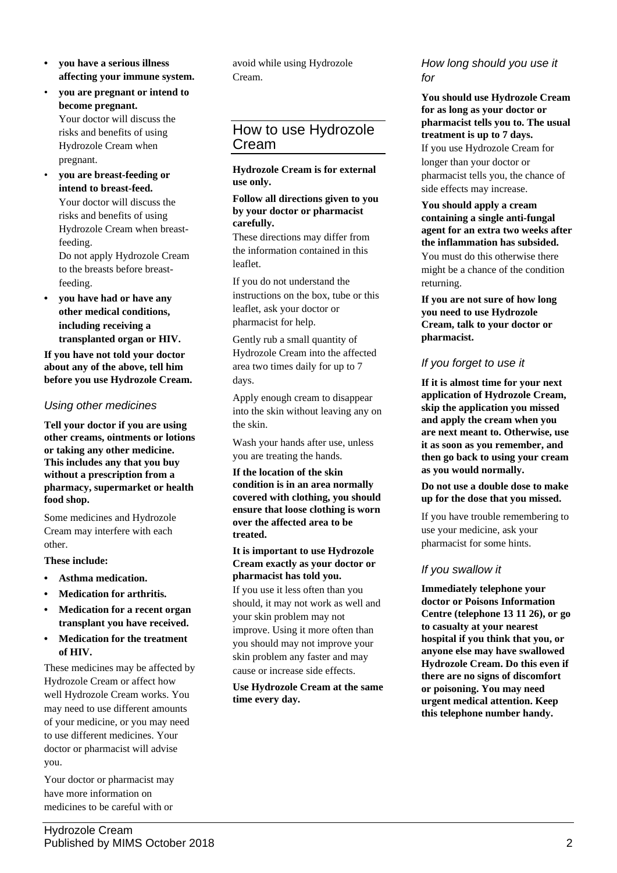- **• you have a serious illness affecting your immune system.**
- **you are pregnant or intend to become pregnant.** Your doctor will discuss the risks and benefits of using Hydrozole Cream when pregnant.
- **you are breast-feeding or intend to breast-feed.** Your doctor will discuss the risks and benefits of using

Hydrozole Cream when breastfeeding.

Do not apply Hydrozole Cream to the breasts before breastfeeding.

**• you have had or have any other medical conditions, including receiving a transplanted organ or HIV.**

**If you have not told your doctor about any of the above, tell him before you use Hydrozole Cream.**

## *Using other medicines*

**Tell your doctor if you are using other creams, ointments or lotions or taking any other medicine. This includes any that you buy without a prescription from a pharmacy, supermarket or health food shop.**

Some medicines and Hydrozole Cream may interfere with each other.

## **These include:**

- **• Asthma medication.**
- **• Medication for arthritis.**
- **• Medication for a recent organ transplant you have received.**
- **• Medication for the treatment of HIV.**

These medicines may be affected by Hydrozole Cream or affect how well Hydrozole Cream works. You may need to use different amounts of your medicine, or you may need to use different medicines. Your doctor or pharmacist will advise you.

Your doctor or pharmacist may have more information on medicines to be careful with or

avoid while using Hydrozole Cream.

# How to use Hydrozole Cream

#### **Hydrozole Cream is for external use only.**

#### **Follow all directions given to you by your doctor or pharmacist carefully.**

These directions may differ from the information contained in this leaflet.

If you do not understand the instructions on the box, tube or this leaflet, ask your doctor or pharmacist for help.

Gently rub a small quantity of Hydrozole Cream into the affected area two times daily for up to 7 days.

Apply enough cream to disappear into the skin without leaving any on the skin.

Wash your hands after use, unless you are treating the hands.

**If the location of the skin condition is in an area normally covered with clothing, you should ensure that loose clothing is worn over the affected area to be treated.**

#### **It is important to use Hydrozole Cream exactly as your doctor or pharmacist has told you.**

If you use it less often than you should, it may not work as well and your skin problem may not improve. Using it more often than you should may not improve your skin problem any faster and may cause or increase side effects.

#### **Use Hydrozole Cream at the same time every day.**

## *How long should you use it for*

**You should use Hydrozole Cream for as long as your doctor or pharmacist tells you to. The usual treatment is up to 7 days.**

If you use Hydrozole Cream for longer than your doctor or pharmacist tells you, the chance of side effects may increase.

#### **You should apply a cream containing a single anti-fungal agent for an extra two weeks after the inflammation has subsided.** You must do this otherwise there might be a chance of the condition returning.

**If you are not sure of how long you need to use Hydrozole Cream, talk to your doctor or pharmacist.**

## *If you forget to use it*

**If it is almost time for your next application of Hydrozole Cream, skip the application you missed and apply the cream when you are next meant to. Otherwise, use it as soon as you remember, and then go back to using your cream as you would normally.**

#### **Do not use a double dose to make up for the dose that you missed.**

If you have trouble remembering to use your medicine, ask your pharmacist for some hints.

## *If you swallow it*

**Immediately telephone your doctor or Poisons Information Centre (telephone 13 11 26), or go to casualty at your nearest hospital if you think that you, or anyone else may have swallowed Hydrozole Cream. Do this even if there are no signs of discomfort or poisoning. You may need urgent medical attention. Keep this telephone number handy.**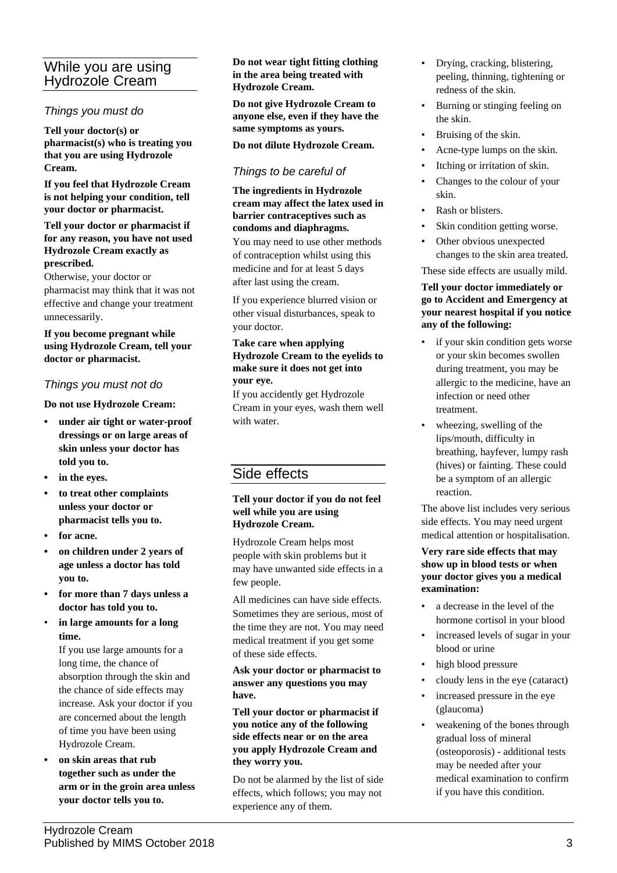# While you are using Hydrozole Cream

## *Things you must do*

**Tell your doctor(s) or pharmacist(s) who is treating you that you are using Hydrozole Cream.**

**If you feel that Hydrozole Cream is not helping your condition, tell your doctor or pharmacist.**

#### **Tell your doctor or pharmacist if for any reason, you have not used Hydrozole Cream exactly as prescribed.**

Otherwise, your doctor or pharmacist may think that it was not effective and change your treatment unnecessarily.

#### **If you become pregnant while using Hydrozole Cream, tell your doctor or pharmacist.**

## *Things you must not do*

**Do not use Hydrozole Cream:**

- **• under air tight or water-proof dressings or on large areas of skin unless your doctor has told you to.**
- **• in the eyes.**
- **• to treat other complaints unless your doctor or pharmacist tells you to.**
- **• for acne.**
- **• on children under 2 years of age unless a doctor has told you to.**
- **• for more than 7 days unless a doctor has told you to.**
- **in large amounts for a long time.**

If you use large amounts for a long time, the chance of absorption through the skin and the chance of side effects may increase. Ask your doctor if you are concerned about the length of time you have been using Hydrozole Cream.

**• on skin areas that rub together such as under the arm or in the groin area unless your doctor tells you to.**

#### **Do not wear tight fitting clothing in the area being treated with Hydrozole Cream.**

**Do not give Hydrozole Cream to anyone else, even if they have the same symptoms as yours.**

#### **Do not dilute Hydrozole Cream.**

## *Things to be careful of*

**The ingredients in Hydrozole cream may affect the latex used in barrier contraceptives such as condoms and diaphragms.**

You may need to use other methods of contraception whilst using this medicine and for at least 5 days after last using the cream.

If you experience blurred vision or other visual disturbances, speak to your doctor.

#### **Take care when applying Hydrozole Cream to the eyelids to make sure it does not get into your eye.**

If you accidently get Hydrozole Cream in your eyes, wash them well with water.

# Side effects

#### **Tell your doctor if you do not feel well while you are using Hydrozole Cream.**

Hydrozole Cream helps most people with skin problems but it may have unwanted side effects in a few people.

All medicines can have side effects. Sometimes they are serious, most of the time they are not. You may need medical treatment if you get some of these side effects.

#### **Ask your doctor or pharmacist to answer any questions you may have.**

**Tell your doctor or pharmacist if you notice any of the following side effects near or on the area you apply Hydrozole Cream and they worry you.**

Do not be alarmed by the list of side effects, which follows; you may not experience any of them.

- Drying, cracking, blistering, peeling, thinning, tightening or redness of the skin.
- Burning or stinging feeling on the skin.
- Bruising of the skin.
- Acne-type lumps on the skin.
- Itching or irritation of skin.
- Changes to the colour of your skin.
- Rash or blisters.
- Skin condition getting worse.
- Other obvious unexpected changes to the skin area treated.

#### These side effects are usually mild.

#### **Tell your doctor immediately or go to Accident and Emergency at your nearest hospital if you notice any of the following:**

- if your skin condition gets worse or your skin becomes swollen during treatment, you may be allergic to the medicine, have an infection or need other treatment.
- wheezing, swelling of the lips/mouth, difficulty in breathing, hayfever, lumpy rash (hives) or fainting. These could be a symptom of an allergic reaction.

The above list includes very serious side effects. You may need urgent medical attention or hospitalisation.

#### **Very rare side effects that may show up in blood tests or when your doctor gives you a medical examination:**

- a decrease in the level of the hormone cortisol in your blood
- increased levels of sugar in your blood or urine
- high blood pressure
- cloudy lens in the eye (cataract)
- increased pressure in the eye (glaucoma)
- weakening of the bones through gradual loss of mineral (osteoporosis) - additional tests may be needed after your medical examination to confirm if you have this condition.